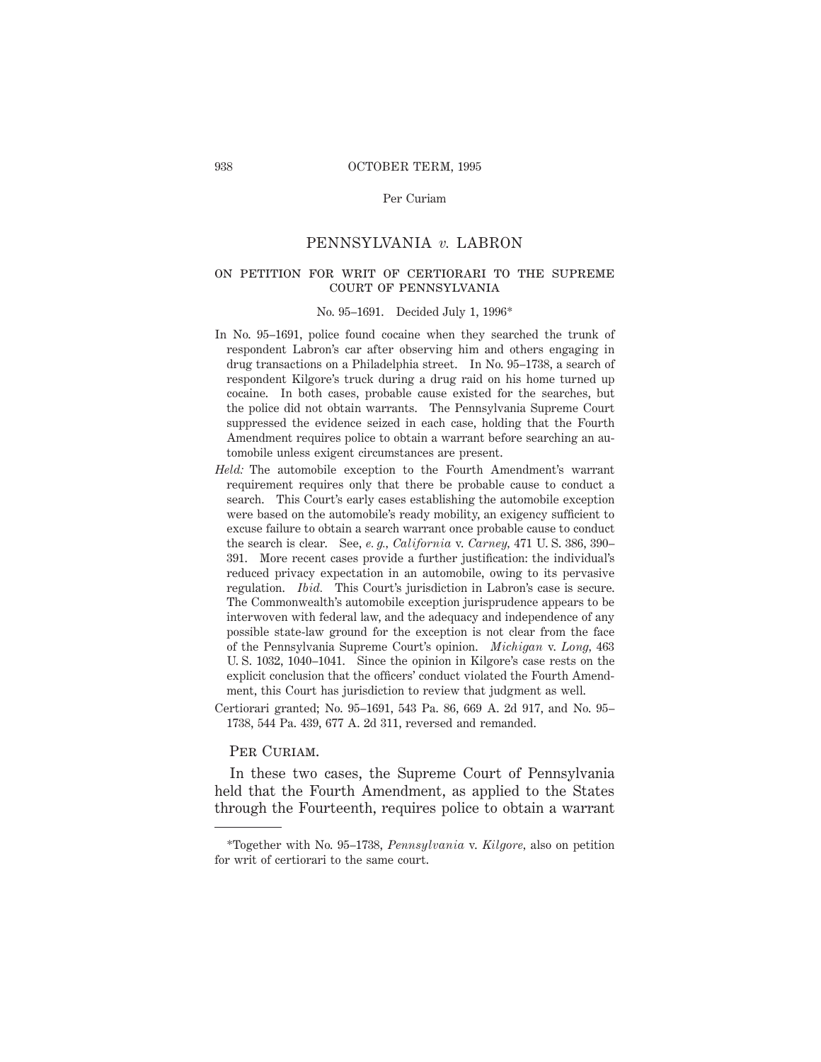#### Per Curiam

# PENNSYLVANIA *v.* LABRON

#### on petition for writ of certiorari to the supremecourt of pennsylvania

#### No. 95–1691. Decided July 1, 1996\*

- In No. 95–1691, police found cocaine when they searched the trunk of respondent Labron's car after observing him and others engaging in drug transactions on a Philadelphia street. In No. 95–1738, a search of respondent Kilgore's truck during a drug raid on his home turned up cocaine. In both cases, probable cause existed for the searches, but the police did not obtain warrants. The Pennsylvania Supreme Court suppressed the evidence seized in each case, holding that the Fourth Amendment requires police to obtain a warrant before searching an automobile unless exigent circumstances are present.
- *Held:* The automobile exception to the Fourth Amendment's warrant requirement requires only that there be probable cause to conduct a search. This Court's early cases establishing the automobile exception were based on the automobile's ready mobility, an exigency sufficient to excuse failure to obtain a search warrant once probable cause to conduct the search is clear. See, *e. g., California* v. *Carney,* 471 U. S. 386, 390– 391. More recent cases provide a further justification: the individual's reduced privacy expectation in an automobile, owing to its pervasive regulation. *Ibid.* This Court's jurisdiction in Labron's case is secure. The Commonwealth's automobile exception jurisprudence appears to be interwoven with federal law, and the adequacy and independence of any possible state-law ground for the exception is not clear from the face of the Pennsylvania Supreme Court's opinion. *Michigan* v. *Long,* 463 U. S. 1032, 1040–1041. Since the opinion in Kilgore's case rests on the explicit conclusion that the officers' conduct violated the Fourth Amendment, this Court has jurisdiction to review that judgment as well.
- Certiorari granted; No. 95–1691, 543 Pa. 86, 669 A. 2d 917, and No. 95– 1738, 544 Pa. 439, 677 A. 2d 311, reversed and remanded.

#### PER CURIAM.

In these two cases, the Supreme Court of Pennsylvania held that the Fourth Amendment, as applied to the States through the Fourteenth, requires police to obtain a warrant

<sup>\*</sup>Together with No. 95–1738, *Pennsylvania* v. *Kilgore,* also on petition for writ of certiorari to the same court.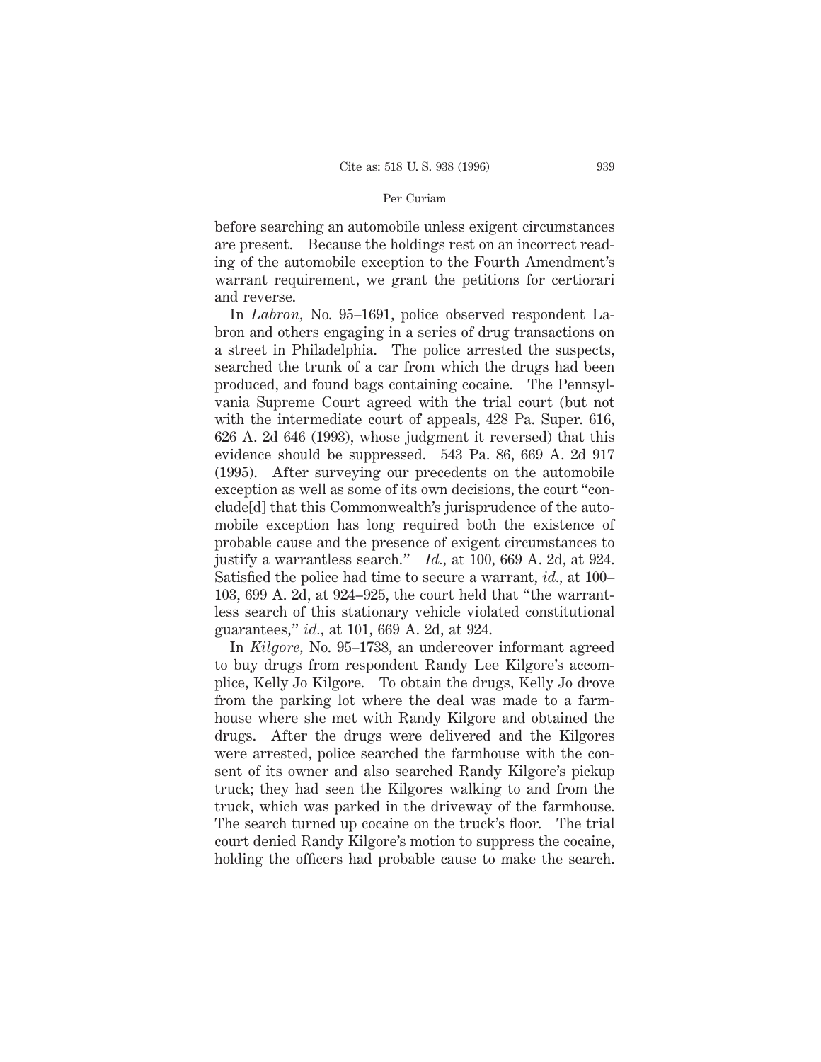#### Per Curiam

before searching an automobile unless exigent circumstances are present. Because the holdings rest on an incorrect reading of the automobile exception to the Fourth Amendment's warrant requirement, we grant the petitions for certiorari and reverse.

In *Labron,* No. 95–1691, police observed respondent Labron and others engaging in a series of drug transactions on a street in Philadelphia. The police arrested the suspects, searched the trunk of a car from which the drugs had been produced, and found bags containing cocaine. The Pennsylvania Supreme Court agreed with the trial court (but not with the intermediate court of appeals, 428 Pa. Super. 616, 626 A. 2d 646 (1993), whose judgment it reversed) that this evidence should be suppressed. 543 Pa. 86, 669 A. 2d 917 (1995). After surveying our precedents on the automobile exception as well as some of its own decisions, the court "conclude[d] that this Commonwealth's jurisprudence of the automobile exception has long required both the existence of probable cause and the presence of exigent circumstances to justify a warrantless search." *Id.,* at 100, 669 A. 2d, at 924. Satisfied the police had time to secure a warrant, *id.,* at 100– 103, 699 A. 2d, at 924–925, the court held that "the warrantless search of this stationary vehicle violated constitutional guarantees," *id.,* at 101, 669 A. 2d, at 924.

In *Kilgore,* No. 95–1738, an undercover informant agreed to buy drugs from respondent Randy Lee Kilgore's accomplice, Kelly Jo Kilgore. To obtain the drugs, Kelly Jo drove from the parking lot where the deal was made to a farmhouse where she met with Randy Kilgore and obtained the drugs. After the drugs were delivered and the Kilgores were arrested, police searched the farmhouse with the consent of its owner and also searched Randy Kilgore's pickup truck; they had seen the Kilgores walking to and from the truck, which was parked in the driveway of the farmhouse. The search turned up cocaine on the truck's floor. The trial court denied Randy Kilgore's motion to suppress the cocaine, holding the officers had probable cause to make the search.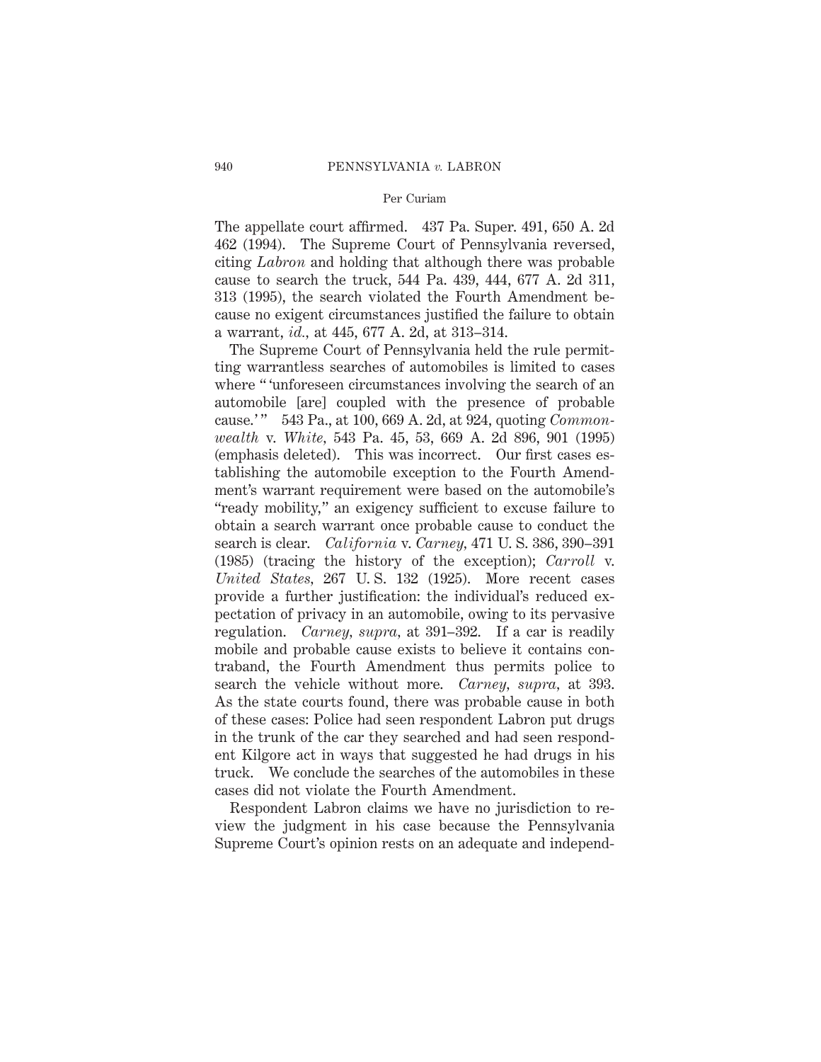#### Per Curiam

The appellate court affirmed. 437 Pa. Super. 491, 650 A. 2d 462 (1994). The Supreme Court of Pennsylvania reversed, citing *Labron* and holding that although there was probable cause to search the truck, 544 Pa. 439, 444, 677 A. 2d 311, 313 (1995), the search violated the Fourth Amendment because no exigent circumstances justified the failure to obtain a warrant, *id.,* at 445, 677 A. 2d, at 313–314.

The Supreme Court of Pennsylvania held the rule permitting warrantless searches of automobiles is limited to cases where " 'unforeseen circumstances involving the search of an automobile [are] coupled with the presence of probable cause.' " 543 Pa., at 100, 669 A. 2d, at 924, quoting *Commonwealth* v. *White,* 543 Pa. 45, 53, 669 A. 2d 896, 901 (1995) (emphasis deleted). This was incorrect. Our first cases establishing the automobile exception to the Fourth Amendment's warrant requirement were based on the automobile's "ready mobility," an exigency sufficient to excuse failure to obtain a search warrant once probable cause to conduct the search is clear. *California* v. *Carney,* 471 U. S. 386, 390–391 (1985) (tracing the history of the exception); *Carroll* v. *United States,* 267 U. S. 132 (1925). More recent cases provide a further justification: the individual's reduced expectation of privacy in an automobile, owing to its pervasive regulation. *Carney, supra,* at 391–392. If a car is readily mobile and probable cause exists to believe it contains contraband, the Fourth Amendment thus permits police to search the vehicle without more. *Carney, supra,* at 393. As the state courts found, there was probable cause in both of these cases: Police had seen respondent Labron put drugs in the trunk of the car they searched and had seen respondent Kilgore act in ways that suggested he had drugs in his truck. We conclude the searches of the automobiles in these cases did not violate the Fourth Amendment.

Respondent Labron claims we have no jurisdiction to review the judgment in his case because the Pennsylvania Supreme Court's opinion rests on an adequate and independ-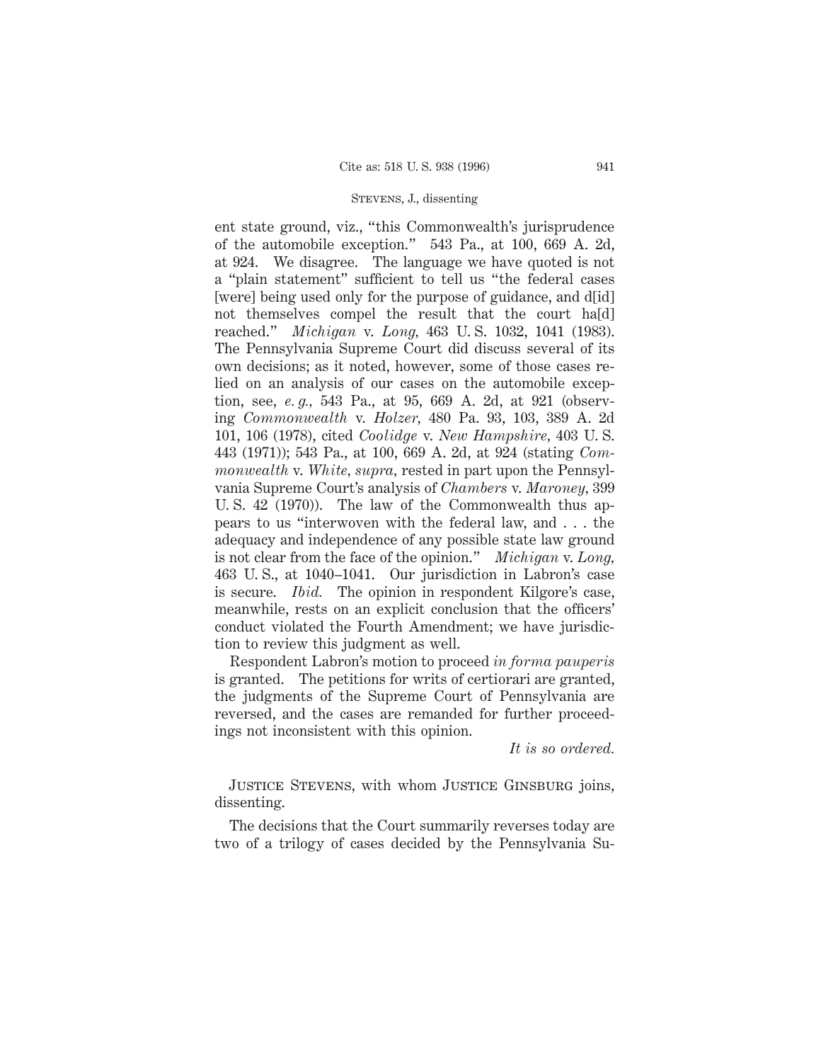ent state ground, viz., "this Commonwealth's jurisprudence of the automobile exception." 543 Pa., at 100, 669 A. 2d, at 924. We disagree. The language we have quoted is not a "plain statement" sufficient to tell us "the federal cases [were] being used only for the purpose of guidance, and d[id] not themselves compel the result that the court ha[d] reached." *Michigan* v. *Long,* 463 U. S. 1032, 1041 (1983). The Pennsylvania Supreme Court did discuss several of its own decisions; as it noted, however, some of those cases relied on an analysis of our cases on the automobile exception, see, *e. g.,* 543 Pa., at 95, 669 A. 2d, at 921 (observing *Commonwealth* v. *Holzer,* 480 Pa. 93, 103, 389 A. 2d 101, 106 (1978), cited *Coolidge* v. *New Hampshire,* 403 U. S. 443 (1971)); 543 Pa., at 100, 669 A. 2d, at 924 (stating *Commonwealth* v. *White, supra,* rested in part upon the Pennsylvania Supreme Court's analysis of *Chambers* v. *Maroney,* 399 U. S. 42 (1970)). The law of the Commonwealth thus appears to us "interwoven with the federal law, and . . . the adequacy and independence of any possible state law ground is not clear from the face of the opinion." *Michigan* v. *Long,* 463 U. S., at 1040–1041. Our jurisdiction in Labron's case is secure. *Ibid.* The opinion in respondent Kilgore's case, meanwhile, rests on an explicit conclusion that the officers' conduct violated the Fourth Amendment; we have jurisdiction to review this judgment as well.

Respondent Labron's motion to proceed *in forma pauperis* is granted. The petitions for writs of certiorari are granted, the judgments of the Supreme Court of Pennsylvania are reversed, and the cases are remanded for further proceedings not inconsistent with this opinion.

*It is so ordered.*

Justice Stevens, with whom Justice Ginsburg joins, dissenting.

The decisions that the Court summarily reverses today are two of a trilogy of cases decided by the Pennsylvania Su-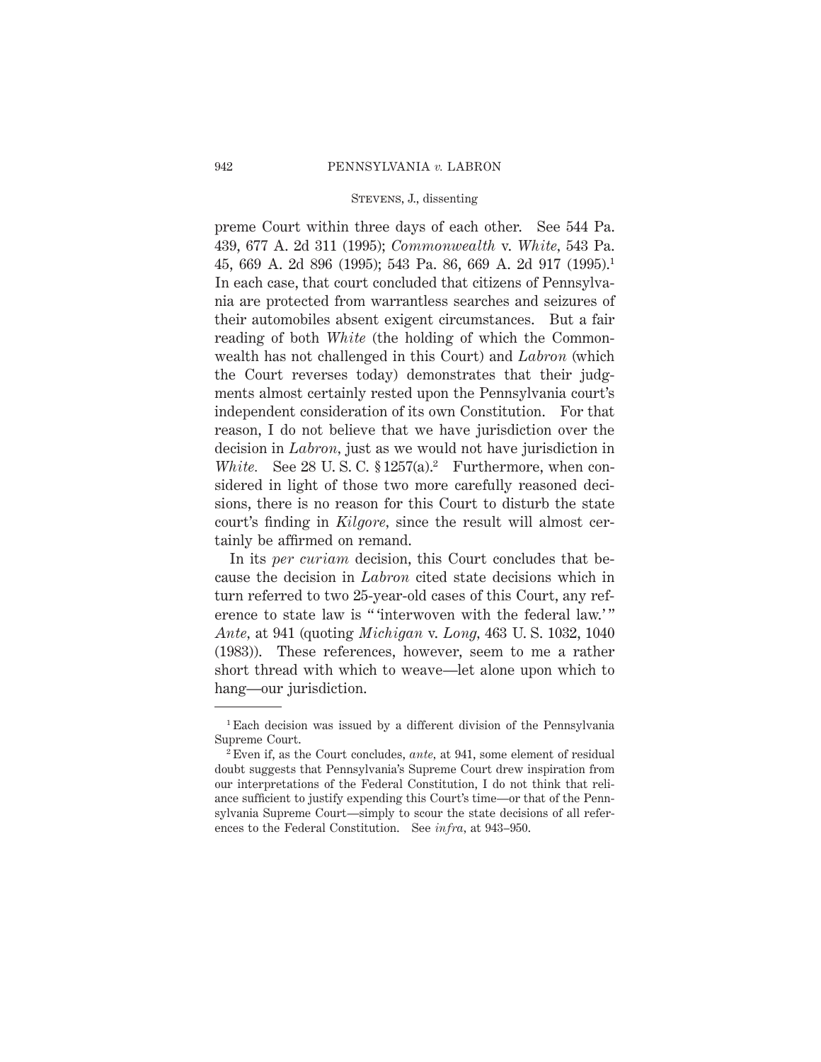preme Court within three days of each other. See 544 Pa. 439, 677 A. 2d 311 (1995); *Commonwealth* v. *White,* 543 Pa. 45, 669 A. 2d 896 (1995); 543 Pa. 86, 669 A. 2d 917 (1995).1 In each case, that court concluded that citizens of Pennsylvania are protected from warrantless searches and seizures of their automobiles absent exigent circumstances. But a fair reading of both *White* (the holding of which the Commonwealth has not challenged in this Court) and *Labron* (which the Court reverses today) demonstrates that their judgments almost certainly rested upon the Pennsylvania court's independent consideration of its own Constitution. For that reason, I do not believe that we have jurisdiction over the decision in *Labron,* just as we would not have jurisdiction in *White.* See 28 U.S.C.  $$1257(a).^2$  Furthermore, when considered in light of those two more carefully reasoned decisions, there is no reason for this Court to disturb the state court's finding in *Kilgore,* since the result will almost certainly be affirmed on remand.

In its *per curiam* decision, this Court concludes that because the decision in *Labron* cited state decisions which in turn referred to two 25-year-old cases of this Court, any reference to state law is " 'interwoven with the federal law.'" *Ante,* at 941 (quoting *Michigan* v. *Long,* 463 U. S. 1032, 1040 (1983)). These references, however, seem to me a rather short thread with which to weave—let alone upon which to hang—our jurisdiction.

<sup>1</sup> Each decision was issued by a different division of the Pennsylvania Supreme Court.

<sup>2</sup> Even if, as the Court concludes, *ante,* at 941, some element of residual doubt suggests that Pennsylvania's Supreme Court drew inspiration from our interpretations of the Federal Constitution, I do not think that reliance sufficient to justify expending this Court's time—or that of the Pennsylvania Supreme Court—simply to scour the state decisions of all references to the Federal Constitution. See *infra,* at 943–950.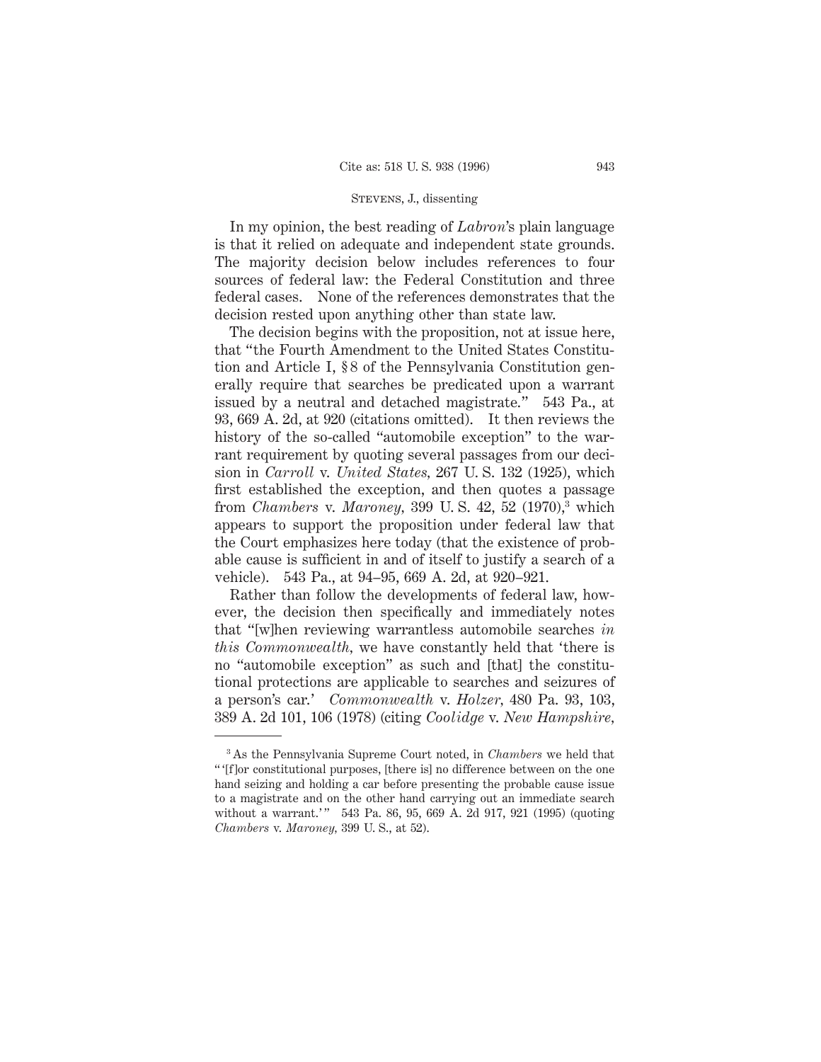In my opinion, the best reading of *Labron*'s plain language is that it relied on adequate and independent state grounds. The majority decision below includes references to four sources of federal law: the Federal Constitution and three federal cases. None of the references demonstrates that the decision rested upon anything other than state law.

The decision begins with the proposition, not at issue here, that "the Fourth Amendment to the United States Constitution and Article I, § 8 of the Pennsylvania Constitution generally require that searches be predicated upon a warrant issued by a neutral and detached magistrate." 543 Pa., at 93, 669 A. 2d, at 920 (citations omitted). It then reviews the history of the so-called "automobile exception" to the warrant requirement by quoting several passages from our decision in *Carroll* v. *United States,* 267 U. S. 132 (1925), which first established the exception, and then quotes a passage from *Chambers* v. *Maroney,* 399 U. S. 42, 52 (1970),3 which appears to support the proposition under federal law that the Court emphasizes here today (that the existence of probable cause is sufficient in and of itself to justify a search of a vehicle). 543 Pa., at 94–95, 669 A. 2d, at 920–921.

Rather than follow the developments of federal law, however, the decision then specifically and immediately notes that "[w]hen reviewing warrantless automobile searches *in this Commonwealth,* we have constantly held that 'there is no "automobile exception" as such and [that] the constitutional protections are applicable to searches and seizures of a person's car.' *Commonwealth* v. *Holzer,* 480 Pa. 93, 103, 389 A. 2d 101, 106 (1978) (citing *Coolidge* v. *New Hampshire,*

<sup>3</sup> As the Pennsylvania Supreme Court noted, in *Chambers* we held that " '[f]or constitutional purposes, [there is] no difference between on the one hand seizing and holding a car before presenting the probable cause issue to a magistrate and on the other hand carrying out an immediate search without a warrant.'" 543 Pa. 86, 95, 669 A. 2d 917, 921 (1995) (quoting *Chambers* v. *Maroney,* 399 U. S., at 52).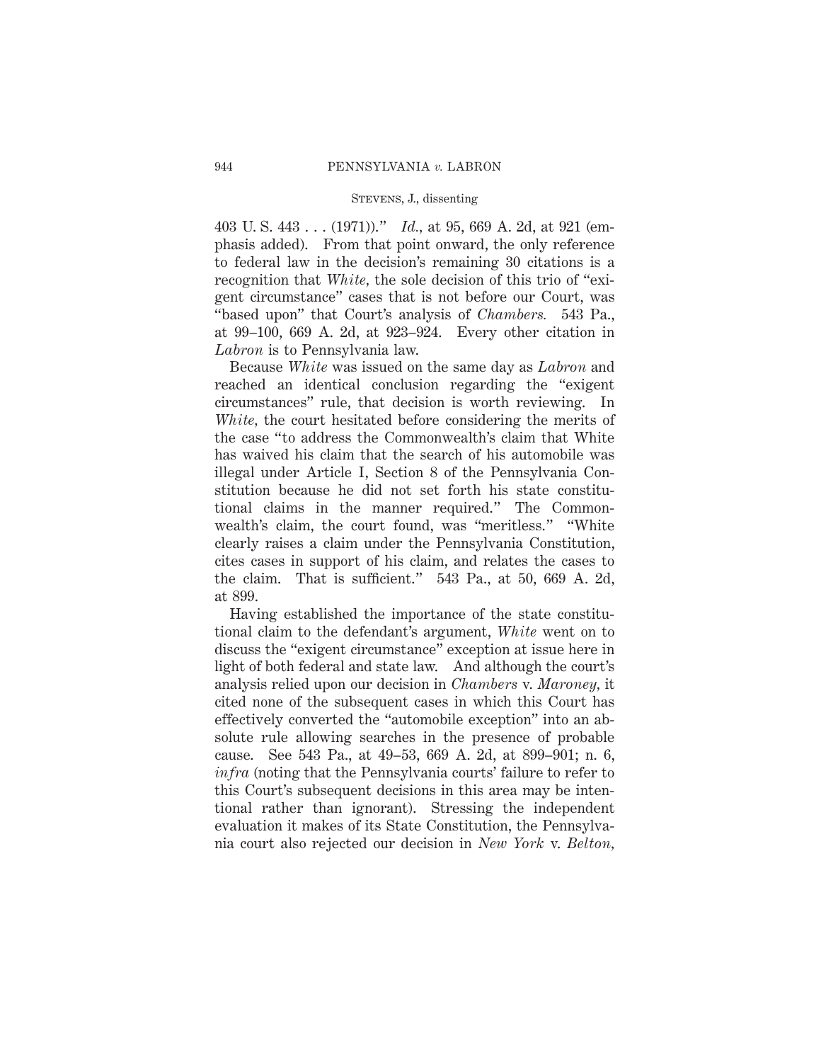403 U. S. 443 . . . (1971))." *Id.,* at 95, 669 A. 2d, at 921 (emphasis added). From that point onward, the only reference to federal law in the decision's remaining 30 citations is a recognition that *White,* the sole decision of this trio of "exigent circumstance" cases that is not before our Court, was "based upon" that Court's analysis of *Chambers.* 543 Pa., at 99–100, 669 A. 2d, at 923–924. Every other citation in *Labron* is to Pennsylvania law.

Because *White* was issued on the same day as *Labron* and reached an identical conclusion regarding the "exigent circumstances" rule, that decision is worth reviewing. In *White,* the court hesitated before considering the merits of the case "to address the Commonwealth's claim that White has waived his claim that the search of his automobile was illegal under Article I, Section 8 of the Pennsylvania Constitution because he did not set forth his state constitutional claims in the manner required." The Commonwealth's claim, the court found, was "meritless." "White clearly raises a claim under the Pennsylvania Constitution, cites cases in support of his claim, and relates the cases to the claim. That is sufficient." 543 Pa., at 50, 669 A. 2d, at 899.

Having established the importance of the state constitutional claim to the defendant's argument, *White* went on to discuss the "exigent circumstance" exception at issue here in light of both federal and state law. And although the court's analysis relied upon our decision in *Chambers* v. *Maroney,* it cited none of the subsequent cases in which this Court has effectively converted the "automobile exception" into an absolute rule allowing searches in the presence of probable cause. See 543 Pa., at 49–53, 669 A. 2d, at 899–901; n. 6, *infra* (noting that the Pennsylvania courts' failure to refer to this Court's subsequent decisions in this area may be intentional rather than ignorant). Stressing the independent evaluation it makes of its State Constitution, the Pennsylvania court also rejected our decision in *New York* v. *Belton,*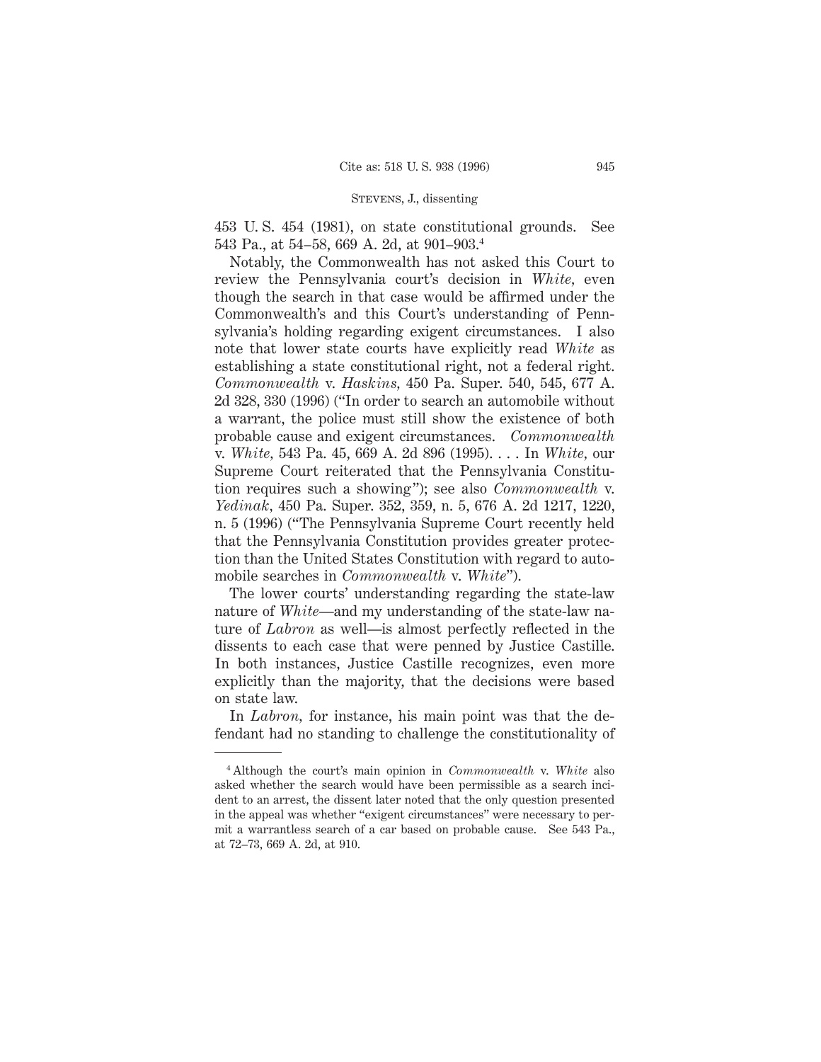453 U. S. 454 (1981), on state constitutional grounds. See 543 Pa., at 54–58, 669 A. 2d, at 901–903.4

Notably, the Commonwealth has not asked this Court to review the Pennsylvania court's decision in *White,* even though the search in that case would be affirmed under the Commonwealth's and this Court's understanding of Pennsylvania's holding regarding exigent circumstances. I also note that lower state courts have explicitly read *White* as establishing a state constitutional right, not a federal right. *Commonwealth* v. *Haskins,* 450 Pa. Super. 540, 545, 677 A. 2d 328, 330 (1996) ("In order to search an automobile without a warrant, the police must still show the existence of both probable cause and exigent circumstances. *Commonwealth* v. *White,* 543 Pa. 45, 669 A. 2d 896 (1995). . . . In *White,* our Supreme Court reiterated that the Pennsylvania Constitution requires such a showing"); see also *Commonwealth* v. *Yedinak,* 450 Pa. Super. 352, 359, n. 5, 676 A. 2d 1217, 1220, n. 5 (1996) ("The Pennsylvania Supreme Court recently held that the Pennsylvania Constitution provides greater protection than the United States Constitution with regard to automobile searches in *Commonwealth* v. *White*").

The lower courts' understanding regarding the state-law nature of *White*—and my understanding of the state-law nature of *Labron* as well—is almost perfectly reflected in the dissents to each case that were penned by Justice Castille. In both instances, Justice Castille recognizes, even more explicitly than the majority, that the decisions were based on state law.

In *Labron*, for instance, his main point was that the defendant had no standing to challenge the constitutionality of

<sup>4</sup> Although the court's main opinion in *Commonwealth* v. *White* also asked whether the search would have been permissible as a search incident to an arrest, the dissent later noted that the only question presented in the appeal was whether "exigent circumstances" were necessary to permit a warrantless search of a car based on probable cause. See 543 Pa., at 72–73, 669 A. 2d, at 910.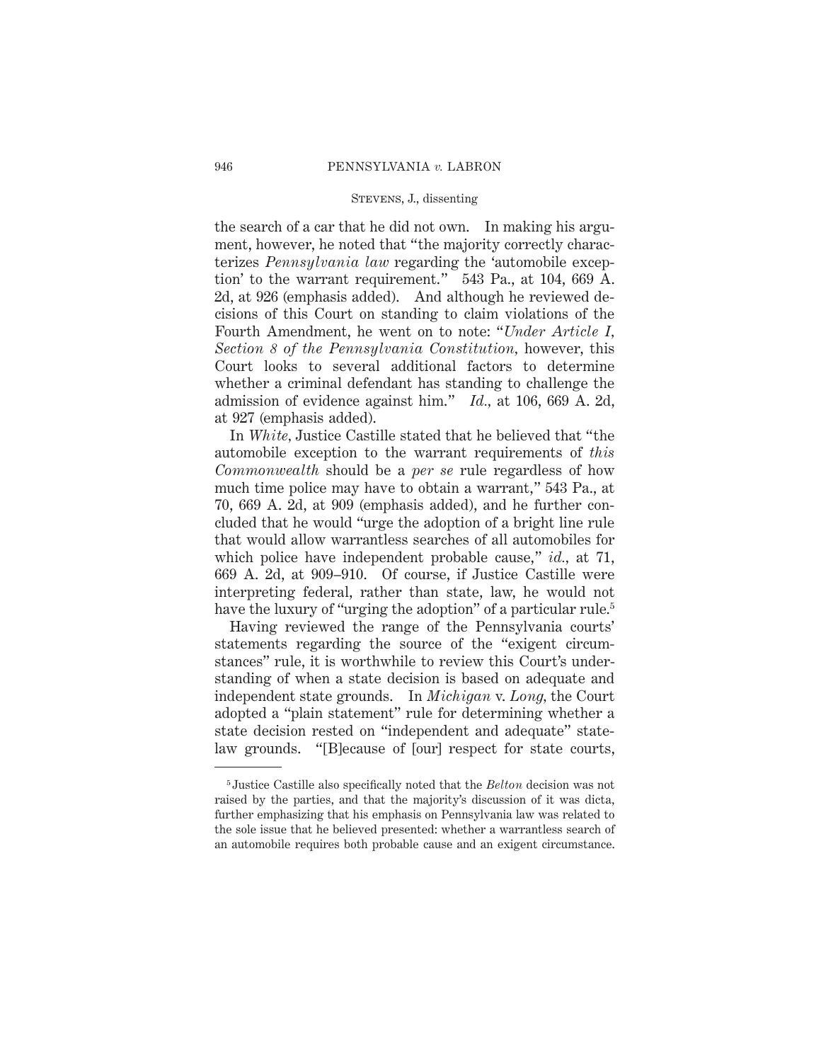the search of a car that he did not own. In making his argument, however, he noted that "the majority correctly characterizes *Pennsylvania law* regarding the 'automobile exception' to the warrant requirement." 543 Pa., at 104, 669 A. 2d, at 926 (emphasis added). And although he reviewed decisions of this Court on standing to claim violations of the Fourth Amendment, he went on to note: "*Under Article I, Section 8 of the Pennsylvania Constitution,* however, this Court looks to several additional factors to determine whether a criminal defendant has standing to challenge the admission of evidence against him." *Id.,* at 106, 669 A. 2d, at 927 (emphasis added).

In *White,* Justice Castille stated that he believed that "the automobile exception to the warrant requirements of *this Commonwealth* should be a *per se* rule regardless of how much time police may have to obtain a warrant," 543 Pa., at 70, 669 A. 2d, at 909 (emphasis added), and he further concluded that he would "urge the adoption of a bright line rule that would allow warrantless searches of all automobiles for which police have independent probable cause," *id.,* at 71, 669 A. 2d, at 909–910. Of course, if Justice Castille were interpreting federal, rather than state, law, he would not have the luxury of "urging the adoption" of a particular rule.<sup>5</sup>

Having reviewed the range of the Pennsylvania courts' statements regarding the source of the "exigent circumstances" rule, it is worthwhile to review this Court's understanding of when a state decision is based on adequate and independent state grounds. In *Michigan* v. *Long,* the Court adopted a "plain statement" rule for determining whether a state decision rested on "independent and adequate" statelaw grounds. "[B]ecause of [our] respect for state courts,

<sup>5</sup> Justice Castille also specifically noted that the *Belton* decision was not raised by the parties, and that the majority's discussion of it was dicta, further emphasizing that his emphasis on Pennsylvania law was related to the sole issue that he believed presented: whether a warrantless search of an automobile requires both probable cause and an exigent circumstance.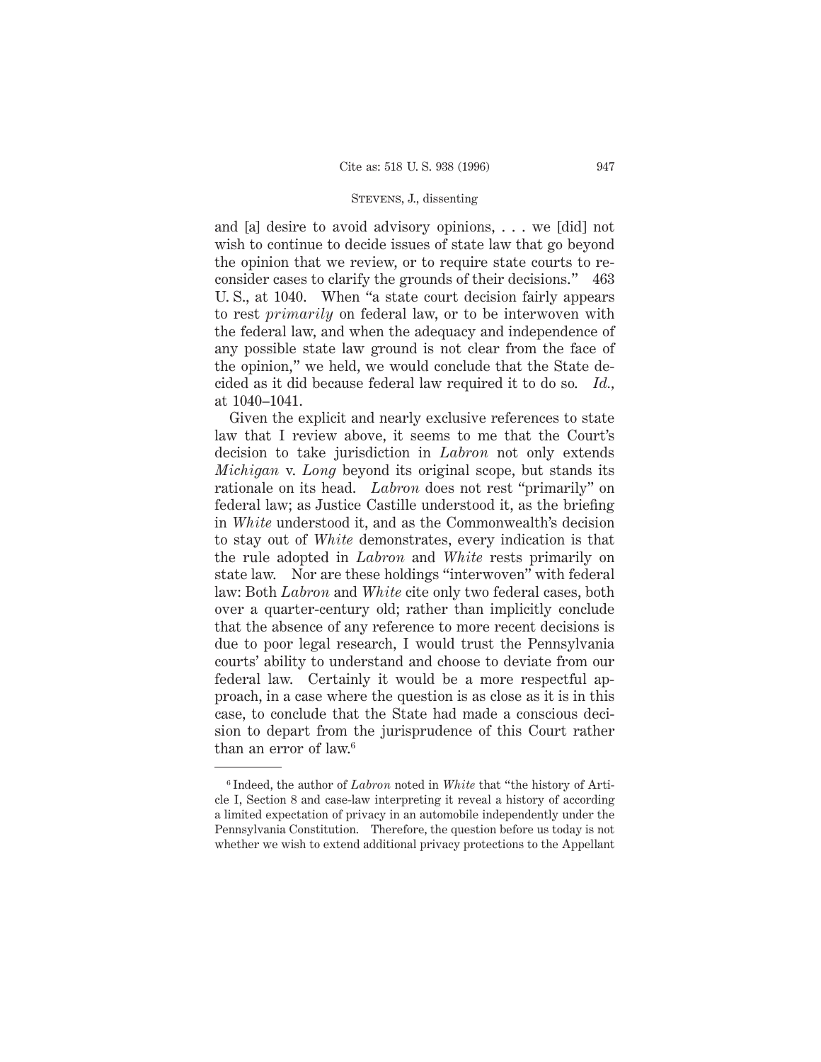and [a] desire to avoid advisory opinions, . . . we [did] not wish to continue to decide issues of state law that go beyond the opinion that we review, or to require state courts to reconsider cases to clarify the grounds of their decisions." 463 U. S., at 1040. When "a state court decision fairly appears to rest *primarily* on federal law, or to be interwoven with the federal law, and when the adequacy and independence of any possible state law ground is not clear from the face of the opinion," we held, we would conclude that the State decided as it did because federal law required it to do so. *Id.,* at 1040–1041.

Given the explicit and nearly exclusive references to state law that I review above, it seems to me that the Court's decision to take jurisdiction in *Labron* not only extends *Michigan* v. *Long* beyond its original scope, but stands its rationale on its head. *Labron* does not rest "primarily" on federal law; as Justice Castille understood it, as the briefing in *White* understood it, and as the Commonwealth's decision to stay out of *White* demonstrates, every indication is that the rule adopted in *Labron* and *White* rests primarily on state law. Nor are these holdings "interwoven" with federal law: Both *Labron* and *White* cite only two federal cases, both over a quarter-century old; rather than implicitly conclude that the absence of any reference to more recent decisions is due to poor legal research, I would trust the Pennsylvania courts' ability to understand and choose to deviate from our federal law. Certainly it would be a more respectful approach, in a case where the question is as close as it is in this case, to conclude that the State had made a conscious decision to depart from the jurisprudence of this Court rather than an error of law.<sup>6</sup>

<sup>6</sup> Indeed, the author of *Labron* noted in *White* that "the history of Article I, Section 8 and case-law interpreting it reveal a history of according a limited expectation of privacy in an automobile independently under the Pennsylvania Constitution. Therefore, the question before us today is not whether we wish to extend additional privacy protections to the Appellant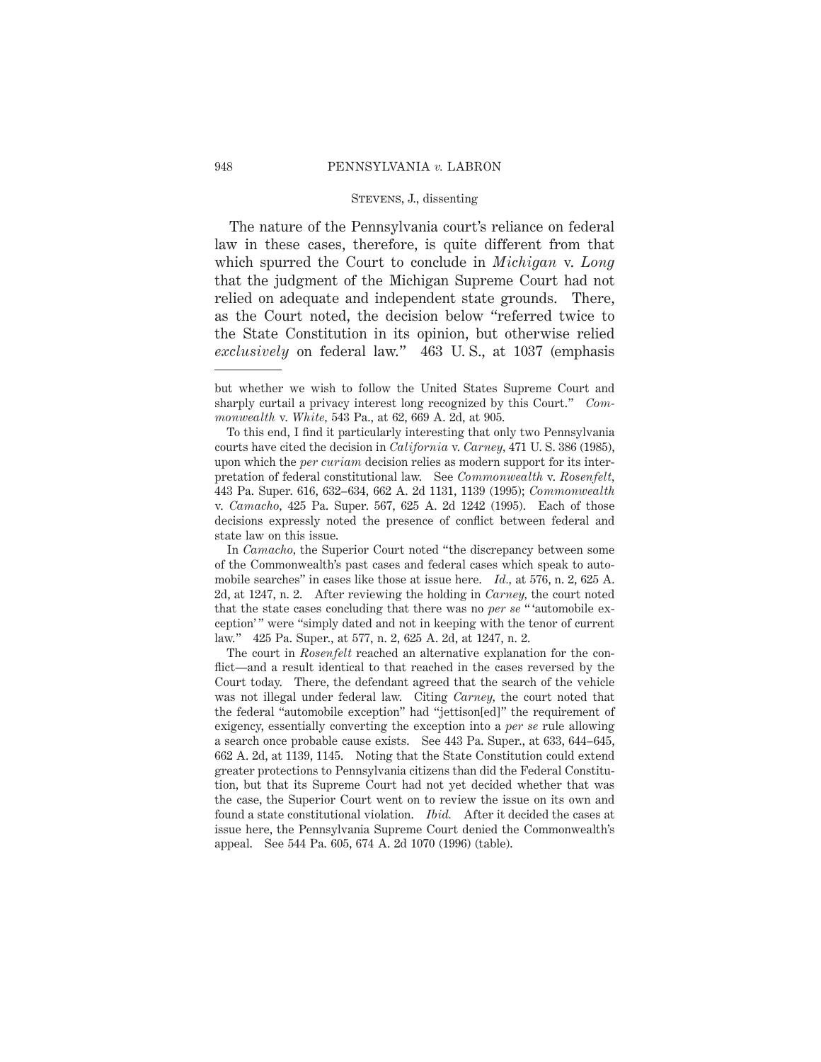The nature of the Pennsylvania court's reliance on federal law in these cases, therefore, is quite different from that which spurred the Court to conclude in *Michigan* v. *Long* that the judgment of the Michigan Supreme Court had not relied on adequate and independent state grounds. There, as the Court noted, the decision below "referred twice to the State Constitution in its opinion, but otherwise relied *exclusively* on federal law." 463 U. S., at 1037 (emphasis

but whether we wish to follow the United States Supreme Court and sharply curtail a privacy interest long recognized by this Court." *Commonwealth* v. *White,* 543 Pa., at 62, 669 A. 2d, at 905.

To this end, I find it particularly interesting that only two Pennsylvania courts have cited the decision in *California* v. *Carney,* 471 U. S. 386 (1985), upon which the *per curiam* decision relies as modern support for its interpretation of federal constitutional law. See *Commonwealth* v. *Rosenfelt,* 443 Pa. Super. 616, 632–634, 662 A. 2d 1131, 1139 (1995); *Commonwealth* v. *Camacho,* 425 Pa. Super. 567, 625 A. 2d 1242 (1995). Each of those decisions expressly noted the presence of conflict between federal and state law on this issue.

In *Camacho,* the Superior Court noted "the discrepancy between some of the Commonwealth's past cases and federal cases which speak to automobile searches" in cases like those at issue here. *Id.,* at 576, n. 2, 625 A. 2d, at 1247, n. 2. After reviewing the holding in *Carney,* the court noted that the state cases concluding that there was no *per se* " 'automobile exception'" were "simply dated and not in keeping with the tenor of current law." 425 Pa. Super., at 577, n. 2, 625 A. 2d, at 1247, n. 2.

The court in *Rosenfelt* reached an alternative explanation for the conflict—and a result identical to that reached in the cases reversed by the Court today. There, the defendant agreed that the search of the vehicle was not illegal under federal law. Citing *Carney,* the court noted that the federal "automobile exception" had "jettison[ed]" the requirement of exigency, essentially converting the exception into a *per se* rule allowing a search once probable cause exists. See 443 Pa. Super., at 633, 644–645, 662 A. 2d, at 1139, 1145. Noting that the State Constitution could extend greater protections to Pennsylvania citizens than did the Federal Constitution, but that its Supreme Court had not yet decided whether that was the case, the Superior Court went on to review the issue on its own and found a state constitutional violation. *Ibid.* After it decided the cases at issue here, the Pennsylvania Supreme Court denied the Commonwealth's appeal. See 544 Pa. 605, 674 A. 2d 1070 (1996) (table).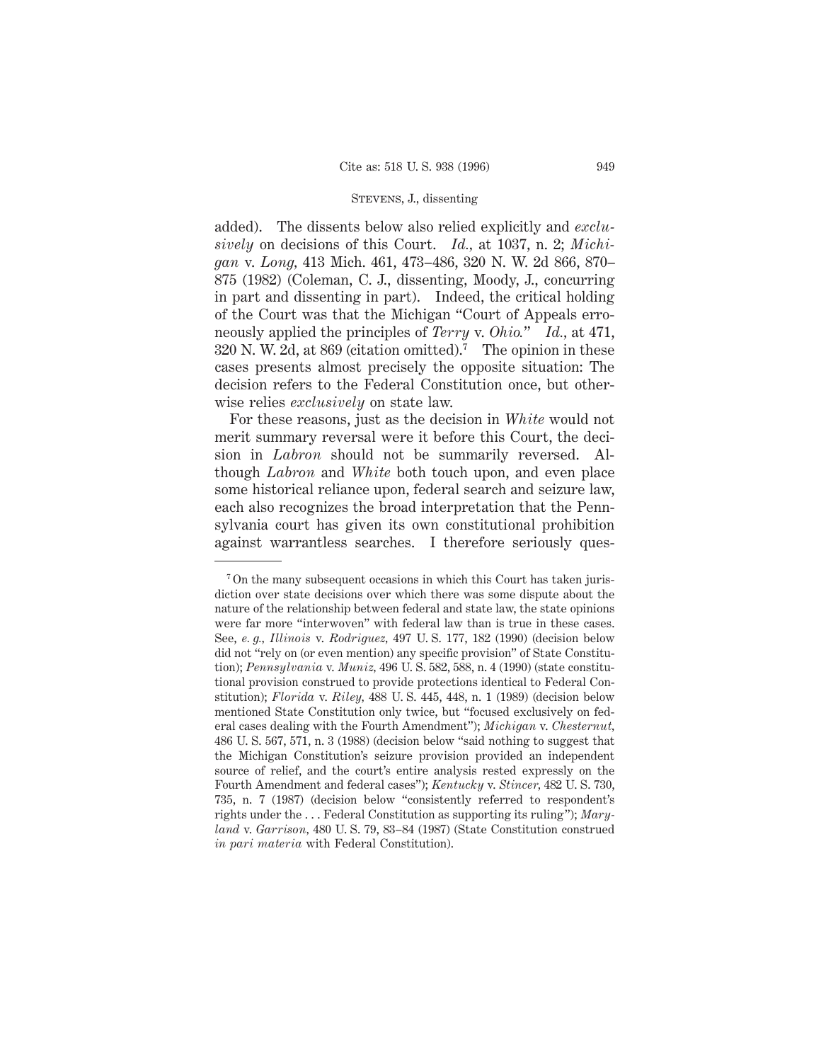added). The dissents below also relied explicitly and *exclusively* on decisions of this Court. *Id.,* at 1037, n. 2; *Michigan* v. *Long,* 413 Mich. 461, 473–486, 320 N. W. 2d 866, 870– 875 (1982) (Coleman, C. J., dissenting, Moody, J., concurring in part and dissenting in part). Indeed, the critical holding of the Court was that the Michigan "Court of Appeals erroneously applied the principles of *Terry* v. *Ohio.*" *Id.,* at 471, 320 N. W. 2d, at 869 (citation omitted).<sup>7</sup> The opinion in these cases presents almost precisely the opposite situation: The decision refers to the Federal Constitution once, but otherwise relies *exclusively* on state law.

For these reasons, just as the decision in *White* would not merit summary reversal were it before this Court, the decision in *Labron* should not be summarily reversed. Although *Labron* and *White* both touch upon, and even place some historical reliance upon, federal search and seizure law, each also recognizes the broad interpretation that the Pennsylvania court has given its own constitutional prohibition against warrantless searches. I therefore seriously ques-

<sup>7</sup> On the many subsequent occasions in which this Court has taken jurisdiction over state decisions over which there was some dispute about the nature of the relationship between federal and state law, the state opinions were far more "interwoven" with federal law than is true in these cases. See, *e. g., Illinois* v. *Rodriguez,* 497 U. S. 177, 182 (1990) (decision below did not "rely on (or even mention) any specific provision" of State Constitution); *Pennsylvania* v. *Muniz,* 496 U. S. 582, 588, n. 4 (1990) (state constitutional provision construed to provide protections identical to Federal Constitution); *Florida* v. *Riley,* 488 U. S. 445, 448, n. 1 (1989) (decision below mentioned State Constitution only twice, but "focused exclusively on federal cases dealing with the Fourth Amendment"); *Michigan* v. *Chesternut,* 486 U. S. 567, 571, n. 3 (1988) (decision below "said nothing to suggest that the Michigan Constitution's seizure provision provided an independent source of relief, and the court's entire analysis rested expressly on the Fourth Amendment and federal cases"); *Kentucky* v. *Stincer,* 482 U. S. 730, 735, n. 7 (1987) (decision below "consistently referred to respondent's rights under the . . . Federal Constitution as supporting its ruling"); *Maryland* v. *Garrison,* 480 U. S. 79, 83–84 (1987) (State Constitution construed *in pari materia* with Federal Constitution).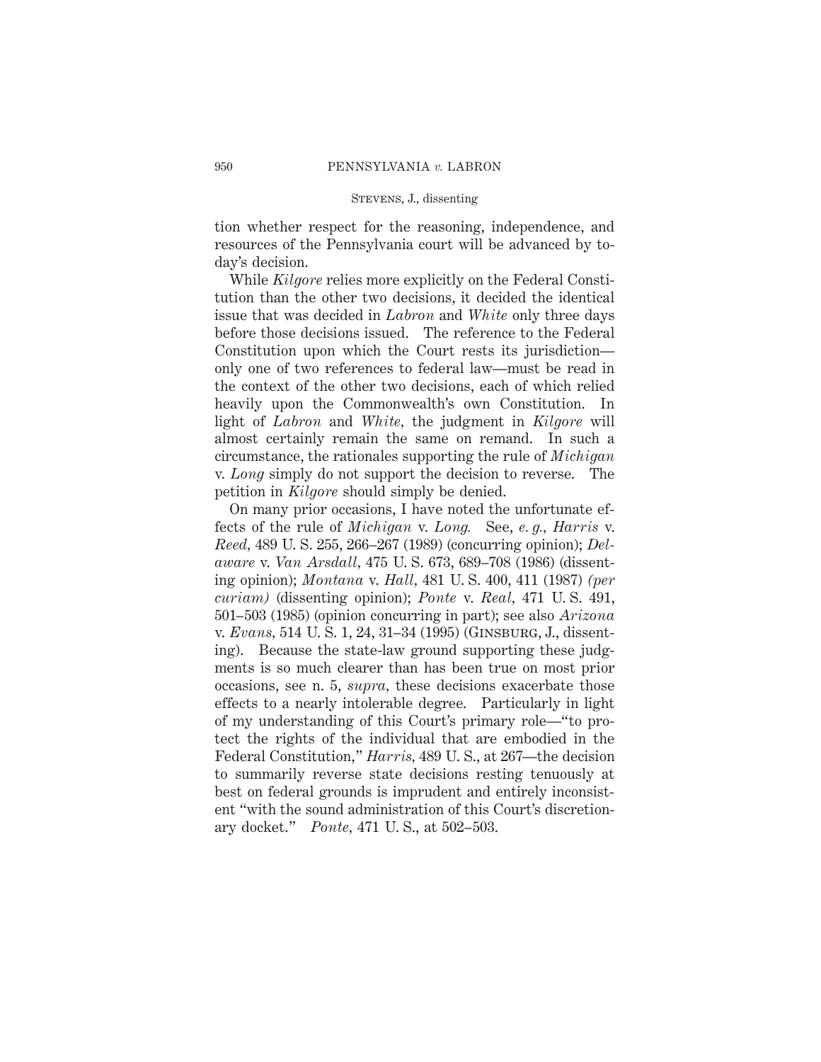tion whether respect for the reasoning, independence, and resources of the Pennsylvania court will be advanced by today's decision.

While *Kilgore* relies more explicitly on the Federal Constitution than the other two decisions, it decided the identical issue that was decided in *Labron* and *White* only three days before those decisions issued. The reference to the Federal Constitution upon which the Court rests its jurisdiction only one of two references to federal law—must be read in the context of the other two decisions, each of which relied heavily upon the Commonwealth's own Constitution. In light of *Labron* and *White,* the judgment in *Kilgore* will almost certainly remain the same on remand. In such a circumstance, the rationales supporting the rule of *Michigan* v. *Long* simply do not support the decision to reverse. The petition in *Kilgore* should simply be denied.

On many prior occasions, I have noted the unfortunate effects of the rule of *Michigan* v. *Long.* See, *e. g., Harris* v. *Reed,* 489 U. S. 255, 266–267 (1989) (concurring opinion); *Delaware* v. *Van Arsdall,* 475 U. S. 673, 689–708 (1986) (dissenting opinion); *Montana* v. *Hall,* 481 U. S. 400, 411 (1987) *(per curiam)* (dissenting opinion); *Ponte* v. *Real,* 471 U. S. 491, 501–503 (1985) (opinion concurring in part); see also *Arizona* v. *Evans,* 514 U. S. 1, 24, 31–34 (1995) (Ginsburg, J., dissenting). Because the state-law ground supporting these judgments is so much clearer than has been true on most prior occasions, see n. 5, *supra,* these decisions exacerbate those effects to a nearly intolerable degree. Particularly in light of my understanding of this Court's primary role—"to protect the rights of the individual that are embodied in the Federal Constitution," *Harris,* 489 U. S., at 267—the decision to summarily reverse state decisions resting tenuously at best on federal grounds is imprudent and entirely inconsistent "with the sound administration of this Court's discretionary docket." *Ponte,* 471 U. S., at 502–503.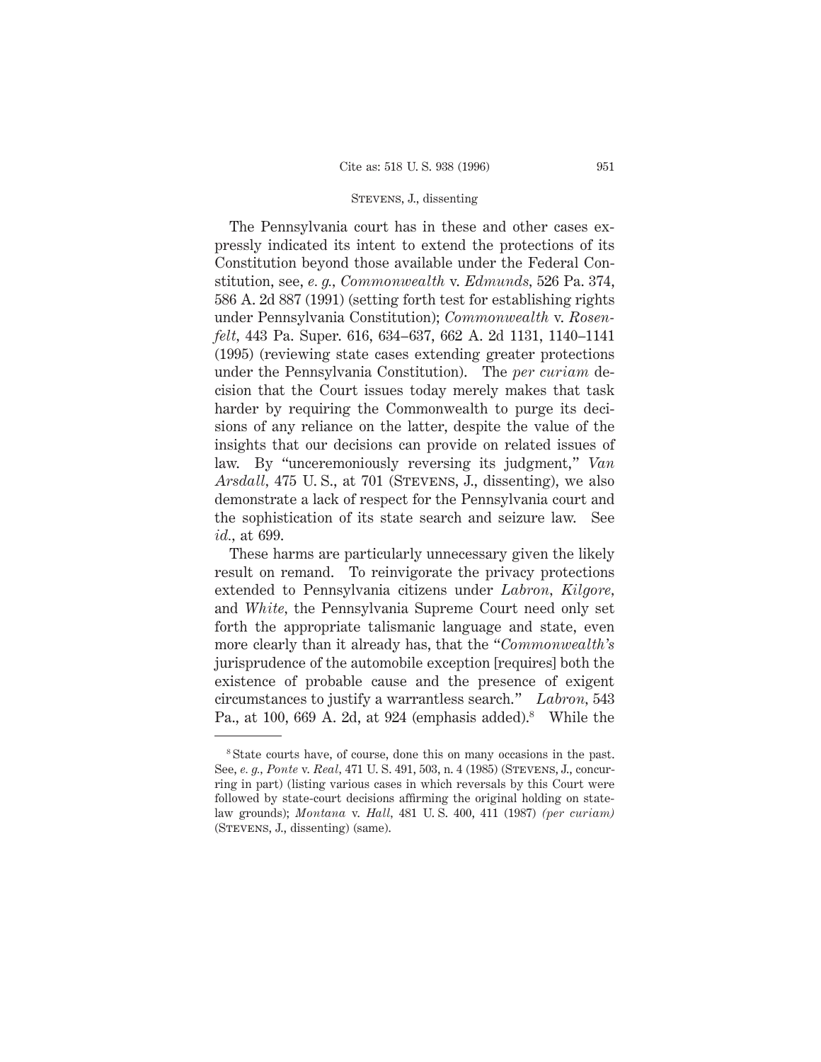The Pennsylvania court has in these and other cases expressly indicated its intent to extend the protections of its Constitution beyond those available under the Federal Constitution, see, *e. g., Commonwealth* v. *Edmunds,* 526 Pa. 374, 586 A. 2d 887 (1991) (setting forth test for establishing rights under Pennsylvania Constitution); *Commonwealth* v. *Rosenfelt,* 443 Pa. Super. 616, 634–637, 662 A. 2d 1131, 1140–1141 (1995) (reviewing state cases extending greater protections under the Pennsylvania Constitution). The *per curiam* decision that the Court issues today merely makes that task harder by requiring the Commonwealth to purge its decisions of any reliance on the latter, despite the value of the insights that our decisions can provide on related issues of law. By "unceremoniously reversing its judgment," *Van Arsdall*, 475 U.S., at 701 (STEVENS, J., dissenting), we also demonstrate a lack of respect for the Pennsylvania court and the sophistication of its state search and seizure law. See *id.,* at 699.

These harms are particularly unnecessary given the likely result on remand. To reinvigorate the privacy protections extended to Pennsylvania citizens under *Labron, Kilgore,* and *White,* the Pennsylvania Supreme Court need only set forth the appropriate talismanic language and state, even more clearly than it already has, that the "*Commonwealth's* jurisprudence of the automobile exception [requires] both the existence of probable cause and the presence of exigent circumstances to justify a warrantless search." *Labron,* 543 Pa., at 100, 669 A. 2d, at 924 (emphasis added).<sup>8</sup> While the

<sup>&</sup>lt;sup>8</sup> State courts have, of course, done this on many occasions in the past. See, *e. g., Ponte* v. *Real,* 471 U. S. 491, 503, n. 4 (1985) (Stevens, J., concurring in part) (listing various cases in which reversals by this Court were followed by state-court decisions affirming the original holding on statelaw grounds); *Montana* v. *Hall,* 481 U. S. 400, 411 (1987) *(per curiam)* (Stevens, J., dissenting) (same).